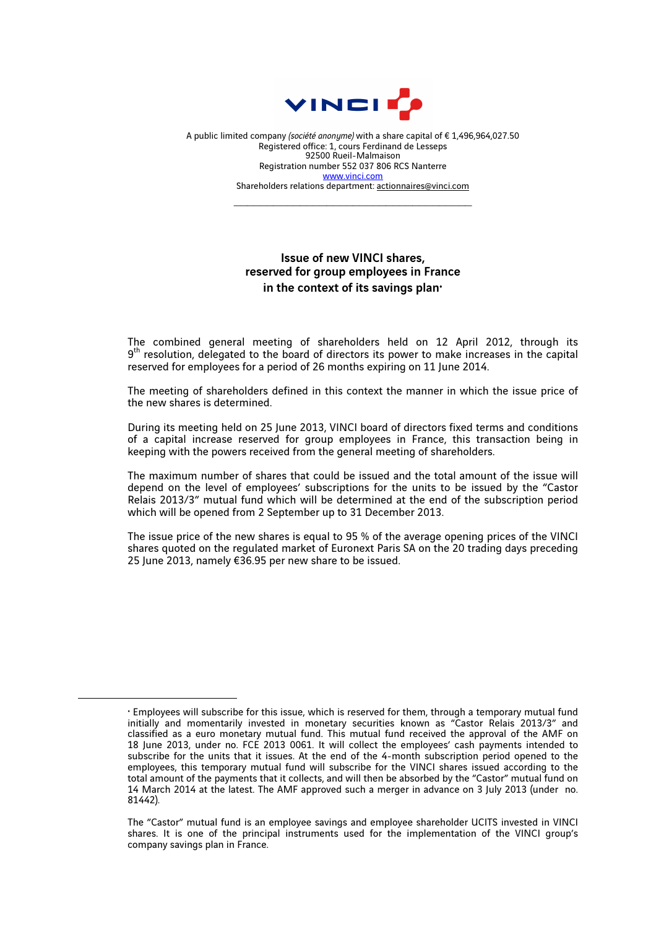

A public limited company *(société anonyme)* with a share capital of € 1,496,964,027.50 Registered office: 1, cours Ferdinand de Lesseps 92500 Rueil-Malmaison Registration number 552 037 806 RCS Nanterre www.vinci.com Shareholders relations department: actionnaires@vinci.com

 $\mathcal{L}_\text{max}$  , and the set of the set of the set of the set of the set of the set of the set of the set of the set of the set of the set of the set of the set of the set of the set of the set of the set of the set of the

## Issue of new VINCI shares, reserved for group employees in France in the context of its savings plan $\cdot$

The combined general meeting of shareholders held on 12 April 2012, through its  $9<sup>th</sup>$  resolution, delegated to the board of directors its power to make increases in the capital reserved for employees for a period of 26 months expiring on 11 June 2014.

The meeting of shareholders defined in this context the manner in which the issue price of the new shares is determined.

During its meeting held on 25 June 2013, VINCI board of directors fixed terms and conditions of a capital increase reserved for group employees in France, this transaction being in keeping with the powers received from the general meeting of shareholders.

The maximum number of shares that could be issued and the total amount of the issue will depend on the level of employees' subscriptions for the units to be issued by the "Castor Relais 2013/3" mutual fund which will be determined at the end of the subscription period which will be opened from 2 September up to 31 December 2013.

The issue price of the new shares is equal to 95 % of the average opening prices of the VINCI shares quoted on the regulated market of Euronext Paris SA on the 20 trading days preceding 25 June 2013, namely €36.95 per new share to be issued.

 $\overline{a}$ 

 $\cdot$  Employees will subscribe for this issue, which is reserved for them, through a temporary mutual fund initially and momentarily invested in monetary securities known as "Castor Relais 2013/3" and classified as a euro monetary mutual fund. This mutual fund received the approval of the AMF on 18 June 2013, under no. FCE 2013 0061. It will collect the employees' cash payments intended to subscribe for the units that it issues. At the end of the 4-month subscription period opened to the employees, this temporary mutual fund will subscribe for the VINCI shares issued according to the total amount of the payments that it collects, and will then be absorbed by the "Castor" mutual fund on 14 March 2014 at the latest. The AMF approved such a merger in advance on 3 July 2013 (under no. 81442).

The "Castor" mutual fund is an employee savings and employee shareholder UCITS invested in VINCI shares. It is one of the principal instruments used for the implementation of the VINCI group's company savings plan in France.